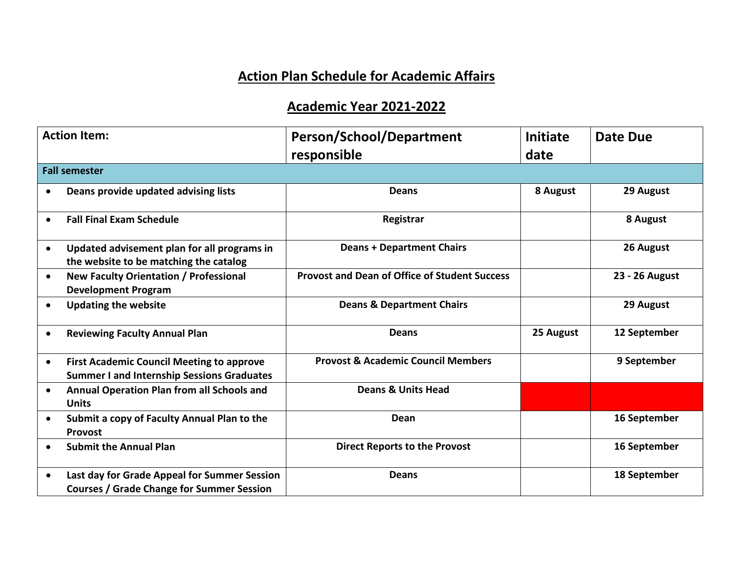## **Action Plan Schedule for Academic Affairs**

## **Academic Year 2021-2022**

| <b>Action Item:</b> |                                                                                                       | <b>Person/School/Department</b>                      | <b>Initiate</b> | <b>Date Due</b> |  |  |  |
|---------------------|-------------------------------------------------------------------------------------------------------|------------------------------------------------------|-----------------|-----------------|--|--|--|
|                     | responsible<br>date<br><b>Fall semester</b>                                                           |                                                      |                 |                 |  |  |  |
|                     | Deans provide updated advising lists                                                                  | <b>Deans</b>                                         | 8 August        | 29 August       |  |  |  |
| $\bullet$           | <b>Fall Final Exam Schedule</b>                                                                       | Registrar                                            |                 | 8 August        |  |  |  |
| $\bullet$           | Updated advisement plan for all programs in<br>the website to be matching the catalog                 | <b>Deans + Department Chairs</b>                     |                 | 26 August       |  |  |  |
| $\bullet$           | New Faculty Orientation / Professional<br><b>Development Program</b>                                  | <b>Provost and Dean of Office of Student Success</b> |                 | 23 - 26 August  |  |  |  |
| $\bullet$           | <b>Updating the website</b>                                                                           | <b>Deans &amp; Department Chairs</b>                 |                 | 29 August       |  |  |  |
| $\bullet$           | <b>Reviewing Faculty Annual Plan</b>                                                                  | <b>Deans</b>                                         | 25 August       | 12 September    |  |  |  |
| $\bullet$           | <b>First Academic Council Meeting to approve</b><br><b>Summer I and Internship Sessions Graduates</b> | <b>Provost &amp; Academic Council Members</b>        |                 | 9 September     |  |  |  |
| $\bullet$           | Annual Operation Plan from all Schools and<br><b>Units</b>                                            | <b>Deans &amp; Units Head</b>                        |                 |                 |  |  |  |
| $\bullet$           | Submit a copy of Faculty Annual Plan to the<br><b>Provost</b>                                         | Dean                                                 |                 | 16 September    |  |  |  |
|                     | <b>Submit the Annual Plan</b>                                                                         | <b>Direct Reports to the Provost</b>                 |                 | 16 September    |  |  |  |
| $\bullet$           | Last day for Grade Appeal for Summer Session<br><b>Courses / Grade Change for Summer Session</b>      | <b>Deans</b>                                         |                 | 18 September    |  |  |  |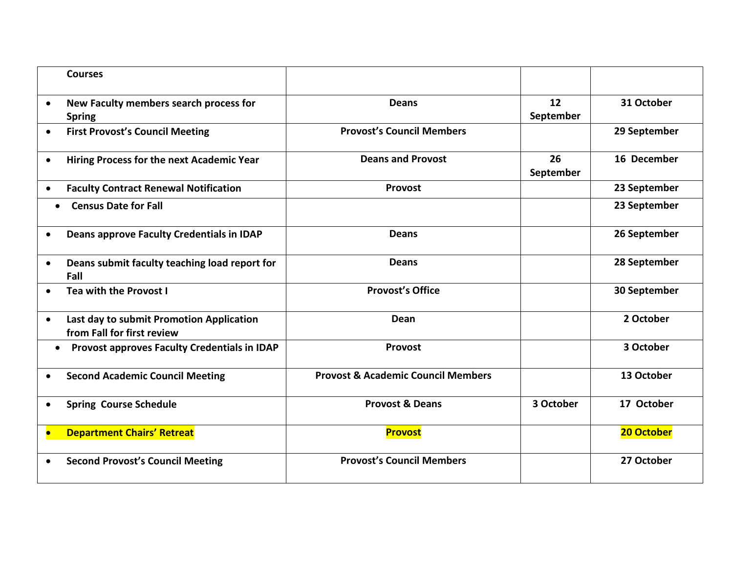| <b>Courses</b>                                                                      |                                               |                 |              |
|-------------------------------------------------------------------------------------|-----------------------------------------------|-----------------|--------------|
| New Faculty members search process for<br>$\bullet$<br><b>Spring</b>                | <b>Deans</b>                                  | 12<br>September | 31 October   |
| <b>First Provost's Council Meeting</b><br>$\bullet$                                 | <b>Provost's Council Members</b>              |                 | 29 September |
| Hiring Process for the next Academic Year<br>$\bullet$                              | <b>Deans and Provost</b>                      | 26<br>September | 16 December  |
| <b>Faculty Contract Renewal Notification</b><br>$\bullet$                           | <b>Provost</b>                                |                 | 23 September |
| <b>Census Date for Fall</b>                                                         |                                               |                 | 23 September |
| Deans approve Faculty Credentials in IDAP<br>$\bullet$                              | <b>Deans</b>                                  |                 | 26 September |
| Deans submit faculty teaching load report for<br>$\bullet$<br>Fall                  | <b>Deans</b>                                  |                 | 28 September |
| Tea with the Provost I<br>$\bullet$                                                 | <b>Provost's Office</b>                       |                 | 30 September |
| Last day to submit Promotion Application<br>$\bullet$<br>from Fall for first review | <b>Dean</b>                                   |                 | 2 October    |
| <b>Provost approves Faculty Credentials in IDAP</b><br>$\bullet$                    | <b>Provost</b>                                |                 | 3 October    |
| <b>Second Academic Council Meeting</b><br>$\bullet$                                 | <b>Provost &amp; Academic Council Members</b> |                 | 13 October   |
| <b>Spring Course Schedule</b><br>$\bullet$                                          | <b>Provost &amp; Deans</b>                    | 3 October       | 17 October   |
| <b>Department Chairs' Retreat</b><br>$\bullet$                                      | <b>Provost</b>                                |                 | 20 October   |
| <b>Second Provost's Council Meeting</b>                                             | <b>Provost's Council Members</b>              |                 | 27 October   |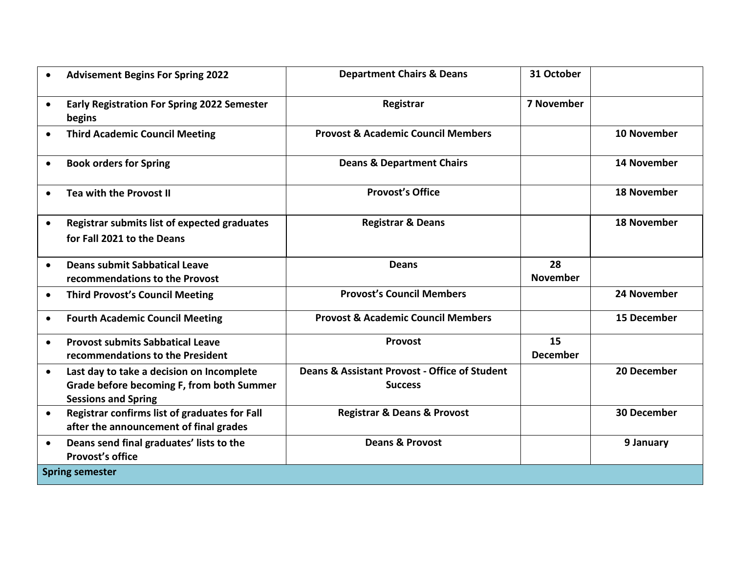|           | <b>Advisement Begins For Spring 2022</b>                                                                             | <b>Department Chairs &amp; Deans</b>                            | 31 October            |                    |  |
|-----------|----------------------------------------------------------------------------------------------------------------------|-----------------------------------------------------------------|-----------------------|--------------------|--|
| $\bullet$ | <b>Early Registration For Spring 2022 Semester</b><br>begins                                                         | Registrar                                                       | <b>7 November</b>     |                    |  |
| $\bullet$ | <b>Third Academic Council Meeting</b>                                                                                | <b>Provost &amp; Academic Council Members</b>                   |                       | 10 November        |  |
| $\bullet$ | <b>Book orders for Spring</b>                                                                                        | <b>Deans &amp; Department Chairs</b>                            |                       | 14 November        |  |
| $\bullet$ | Tea with the Provost II                                                                                              | <b>Provost's Office</b>                                         |                       | <b>18 November</b> |  |
| $\bullet$ | Registrar submits list of expected graduates<br>for Fall 2021 to the Deans                                           | <b>Registrar &amp; Deans</b>                                    |                       | <b>18 November</b> |  |
| $\bullet$ | <b>Deans submit Sabbatical Leave</b><br>recommendations to the Provost                                               | <b>Deans</b>                                                    | 28<br><b>November</b> |                    |  |
| $\bullet$ | <b>Third Provost's Council Meeting</b>                                                                               | <b>Provost's Council Members</b>                                |                       | 24 November        |  |
| $\bullet$ | <b>Fourth Academic Council Meeting</b>                                                                               | <b>Provost &amp; Academic Council Members</b>                   |                       | <b>15 December</b> |  |
| $\bullet$ | <b>Provost submits Sabbatical Leave</b><br>recommendations to the President                                          | Provost                                                         | 15<br><b>December</b> |                    |  |
| $\bullet$ | Last day to take a decision on Incomplete<br>Grade before becoming F, from both Summer<br><b>Sessions and Spring</b> | Deans & Assistant Provost - Office of Student<br><b>Success</b> |                       | 20 December        |  |
| $\bullet$ | Registrar confirms list of graduates for Fall<br>after the announcement of final grades                              | <b>Registrar &amp; Deans &amp; Provost</b>                      |                       | <b>30 December</b> |  |
| $\bullet$ | Deans send final graduates' lists to the<br><b>Provost's office</b>                                                  | <b>Deans &amp; Provost</b>                                      |                       | 9 January          |  |
|           | <b>Spring semester</b>                                                                                               |                                                                 |                       |                    |  |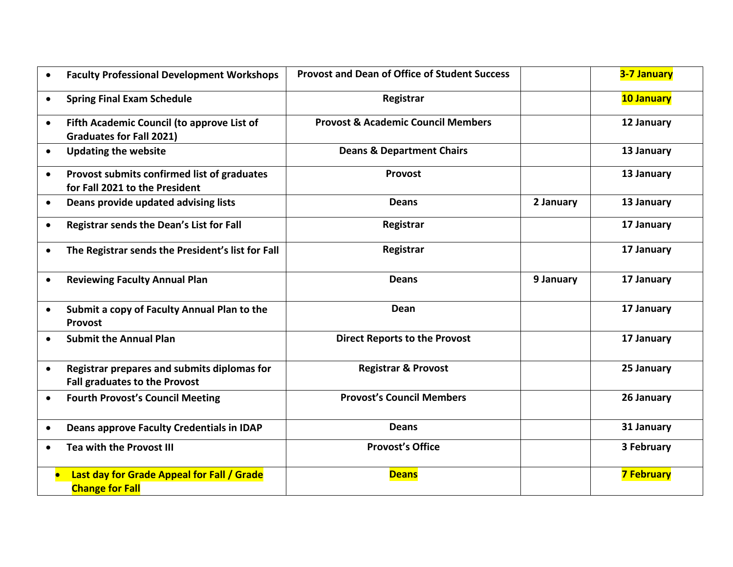| $\bullet$ | <b>Faculty Professional Development Workshops</b>                                   | <b>Provost and Dean of Office of Student Success</b> |           | 3-7 January       |
|-----------|-------------------------------------------------------------------------------------|------------------------------------------------------|-----------|-------------------|
| $\bullet$ | <b>Spring Final Exam Schedule</b>                                                   | Registrar                                            |           | <b>10 January</b> |
| $\bullet$ | Fifth Academic Council (to approve List of<br><b>Graduates for Fall 2021)</b>       | <b>Provost &amp; Academic Council Members</b>        |           | 12 January        |
| $\bullet$ | <b>Updating the website</b>                                                         | <b>Deans &amp; Department Chairs</b>                 |           | 13 January        |
| $\bullet$ | Provost submits confirmed list of graduates<br>for Fall 2021 to the President       | Provost                                              |           | 13 January        |
| $\bullet$ | Deans provide updated advising lists                                                | <b>Deans</b>                                         | 2 January | 13 January        |
| $\bullet$ | Registrar sends the Dean's List for Fall                                            | Registrar                                            |           | 17 January        |
| $\bullet$ | The Registrar sends the President's list for Fall                                   | Registrar                                            |           | 17 January        |
| $\bullet$ | <b>Reviewing Faculty Annual Plan</b>                                                | <b>Deans</b>                                         | 9 January | 17 January        |
| $\bullet$ | Submit a copy of Faculty Annual Plan to the<br>Provost                              | Dean                                                 |           | 17 January        |
| $\bullet$ | <b>Submit the Annual Plan</b>                                                       | <b>Direct Reports to the Provost</b>                 |           | 17 January        |
| $\bullet$ | Registrar prepares and submits diplomas for<br><b>Fall graduates to the Provost</b> | <b>Registrar &amp; Provost</b>                       |           | 25 January        |
| $\bullet$ | <b>Fourth Provost's Council Meeting</b>                                             | <b>Provost's Council Members</b>                     |           | 26 January        |
| $\bullet$ | Deans approve Faculty Credentials in IDAP                                           | <b>Deans</b>                                         |           | 31 January        |
| $\bullet$ | Tea with the Provost III                                                            | <b>Provost's Office</b>                              |           | 3 February        |
|           | Last day for Grade Appeal for Fall / Grade<br><b>Change for Fall</b>                | <b>Deans</b>                                         |           | <b>7 February</b> |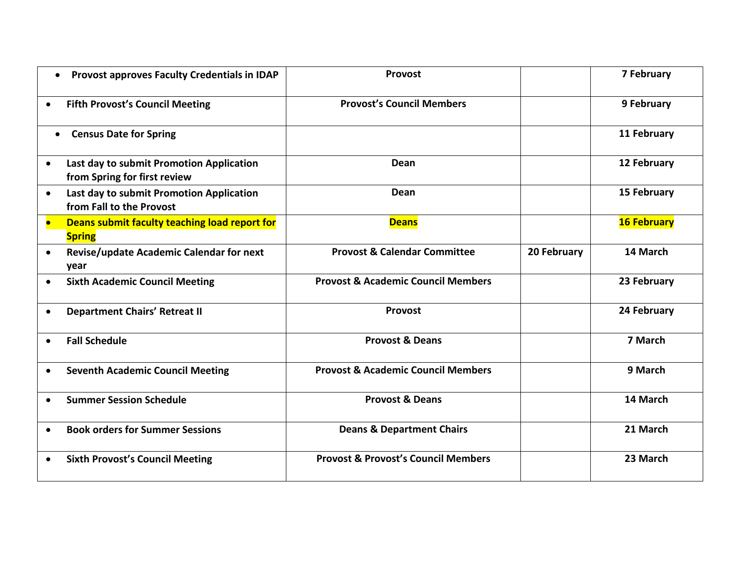| Provost approves Faculty Credentials in IDAP<br>$\bullet$                             | Provost                                        |             | 7 February         |
|---------------------------------------------------------------------------------------|------------------------------------------------|-------------|--------------------|
| <b>Fifth Provost's Council Meeting</b><br>$\bullet$                                   | <b>Provost's Council Members</b>               |             | 9 February         |
| <b>Census Date for Spring</b><br>$\bullet$                                            |                                                |             | 11 February        |
| Last day to submit Promotion Application<br>$\bullet$<br>from Spring for first review | Dean                                           |             | 12 February        |
| Last day to submit Promotion Application<br>$\bullet$<br>from Fall to the Provost     | Dean                                           |             | 15 February        |
| Deans submit faculty teaching load report for<br>$\bullet$<br><b>Spring</b>           | <b>Deans</b>                                   |             | <b>16 February</b> |
| Revise/update Academic Calendar for next<br>$\bullet$<br>year                         | <b>Provost &amp; Calendar Committee</b>        | 20 February | 14 March           |
| <b>Sixth Academic Council Meeting</b><br>$\bullet$                                    | <b>Provost &amp; Academic Council Members</b>  |             | 23 February        |
| <b>Department Chairs' Retreat II</b><br>$\bullet$                                     | <b>Provost</b>                                 |             | 24 February        |
| <b>Fall Schedule</b><br>$\bullet$                                                     | <b>Provost &amp; Deans</b>                     |             | 7 March            |
| <b>Seventh Academic Council Meeting</b><br>$\bullet$                                  | <b>Provost &amp; Academic Council Members</b>  |             | 9 March            |
| <b>Summer Session Schedule</b><br>$\bullet$                                           | <b>Provost &amp; Deans</b>                     |             | 14 March           |
| <b>Book orders for Summer Sessions</b><br>$\bullet$                                   | <b>Deans &amp; Department Chairs</b>           |             | 21 March           |
| <b>Sixth Provost's Council Meeting</b><br>$\bullet$                                   | <b>Provost &amp; Provost's Council Members</b> |             | 23 March           |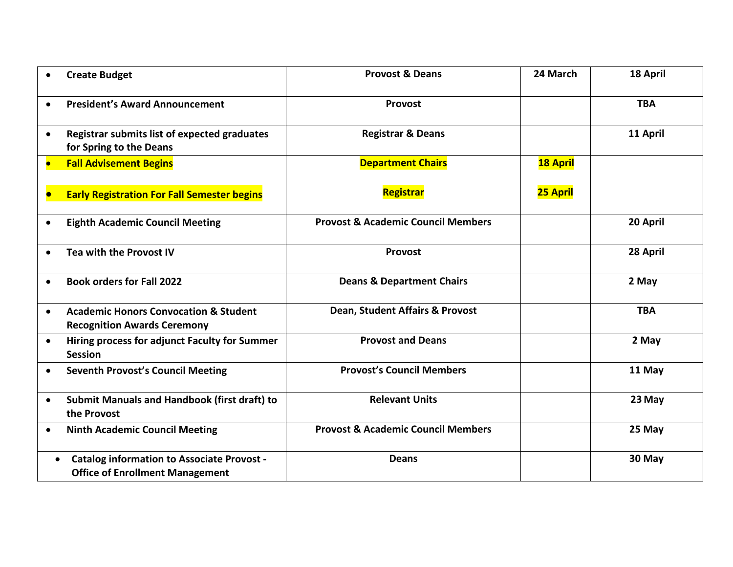|           | <b>Create Budget</b>                                                                        | <b>Provost &amp; Deans</b>                    | 24 March        | 18 April   |
|-----------|---------------------------------------------------------------------------------------------|-----------------------------------------------|-----------------|------------|
| $\bullet$ | <b>President's Award Announcement</b>                                                       | Provost                                       |                 | <b>TBA</b> |
| $\bullet$ | Registrar submits list of expected graduates<br>for Spring to the Deans                     | <b>Registrar &amp; Deans</b>                  |                 | 11 April   |
| o         | <b>Fall Advisement Begins</b>                                                               | <b>Department Chairs</b>                      | <b>18 April</b> |            |
|           | <b>Early Registration For Fall Semester begins</b>                                          | Registrar                                     | 25 April        |            |
| $\bullet$ | <b>Eighth Academic Council Meeting</b>                                                      | <b>Provost &amp; Academic Council Members</b> |                 | 20 April   |
| $\bullet$ | Tea with the Provost IV                                                                     | Provost                                       |                 | 28 April   |
| $\bullet$ | <b>Book orders for Fall 2022</b>                                                            | <b>Deans &amp; Department Chairs</b>          |                 | 2 May      |
| $\bullet$ | <b>Academic Honors Convocation &amp; Student</b><br><b>Recognition Awards Ceremony</b>      | Dean, Student Affairs & Provost               |                 | <b>TBA</b> |
| $\bullet$ | Hiring process for adjunct Faculty for Summer<br><b>Session</b>                             | <b>Provost and Deans</b>                      |                 | 2 May      |
| $\bullet$ | <b>Seventh Provost's Council Meeting</b>                                                    | <b>Provost's Council Members</b>              |                 | 11 May     |
| $\bullet$ | Submit Manuals and Handbook (first draft) to<br>the Provost                                 | <b>Relevant Units</b>                         |                 | 23 May     |
| $\bullet$ | <b>Ninth Academic Council Meeting</b>                                                       | <b>Provost &amp; Academic Council Members</b> |                 | 25 May     |
| $\bullet$ | <b>Catalog information to Associate Provost -</b><br><b>Office of Enrollment Management</b> | <b>Deans</b>                                  |                 | 30 May     |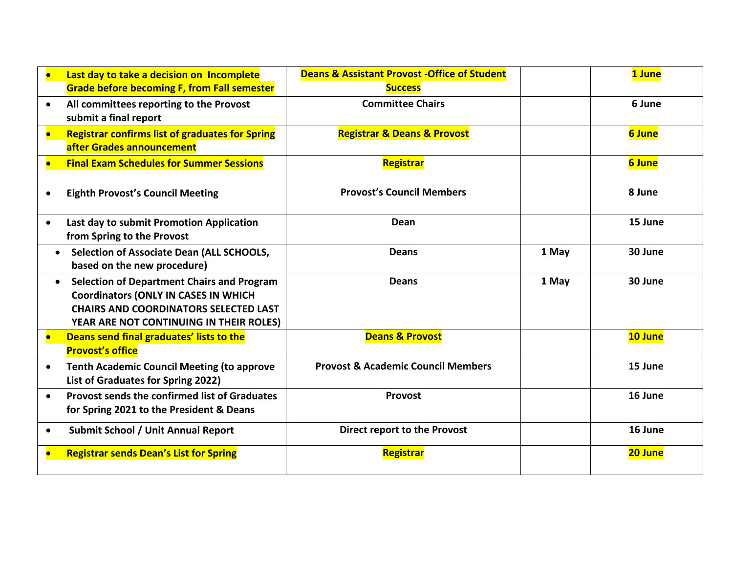| $\bullet$ | Last day to take a decision on Incomplete              | <b>Deans &amp; Assistant Provost - Office of Student</b> |       | 1 June  |
|-----------|--------------------------------------------------------|----------------------------------------------------------|-------|---------|
|           | <b>Grade before becoming F, from Fall semester</b>     | <b>Success</b>                                           |       |         |
| $\bullet$ | All committees reporting to the Provost                | <b>Committee Chairs</b>                                  |       | 6 June  |
|           | submit a final report                                  |                                                          |       |         |
| $\bullet$ | <b>Registrar confirms list of graduates for Spring</b> | <b>Registrar &amp; Deans &amp; Provost</b>               |       | 6 June  |
|           | after Grades announcement                              |                                                          |       |         |
| $\bullet$ | <b>Final Exam Schedules for Summer Sessions</b>        | <b>Registrar</b>                                         |       | 6 June  |
|           |                                                        |                                                          |       |         |
| $\bullet$ | <b>Eighth Provost's Council Meeting</b>                | <b>Provost's Council Members</b>                         |       | 8 June  |
|           |                                                        |                                                          |       |         |
| $\bullet$ | Last day to submit Promotion Application               | Dean                                                     |       | 15 June |
|           | from Spring to the Provost                             |                                                          |       |         |
|           | Selection of Associate Dean (ALL SCHOOLS,              | <b>Deans</b>                                             | 1 May | 30 June |
|           | based on the new procedure)                            |                                                          |       |         |
| $\bullet$ | <b>Selection of Department Chairs and Program</b>      | <b>Deans</b>                                             | 1 May | 30 June |
|           | <b>Coordinators (ONLY IN CASES IN WHICH</b>            |                                                          |       |         |
|           | <b>CHAIRS AND COORDINATORS SELECTED LAST</b>           |                                                          |       |         |
|           | YEAR ARE NOT CONTINUING IN THEIR ROLES)                |                                                          |       |         |
| $\bullet$ | Deans send final graduates' lists to the               | <b>Deans &amp; Provost</b>                               |       | 10 June |
|           | <b>Provost's office</b>                                |                                                          |       |         |
| $\bullet$ | <b>Tenth Academic Council Meeting (to approve</b>      | <b>Provost &amp; Academic Council Members</b>            |       | 15 June |
|           | List of Graduates for Spring 2022)                     |                                                          |       |         |
| $\bullet$ | <b>Provost sends the confirmed list of Graduates</b>   | Provost                                                  |       | 16 June |
|           | for Spring 2021 to the President & Deans               |                                                          |       |         |
| $\bullet$ | <b>Submit School / Unit Annual Report</b>              | Direct report to the Provost                             |       | 16 June |
|           | <b>Registrar sends Dean's List for Spring</b>          | <b>Registrar</b>                                         |       | 20 June |
|           |                                                        |                                                          |       |         |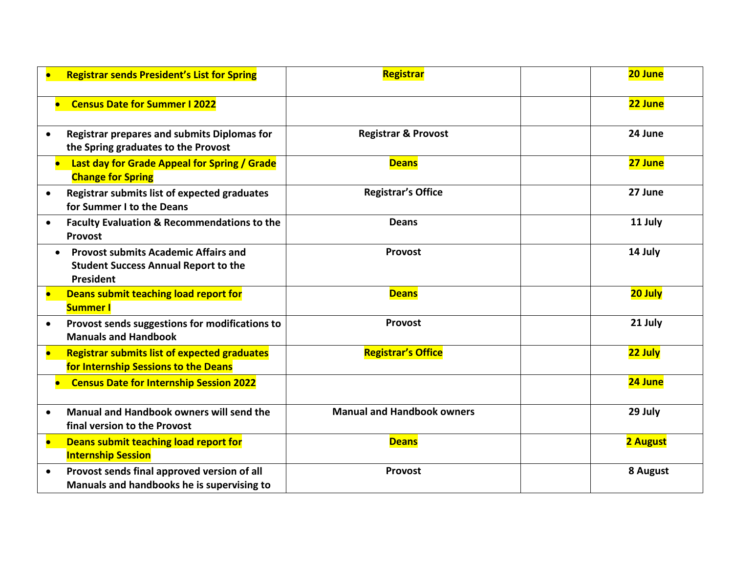| <b>Registrar sends President's List for Spring</b>                                                       | <b>Registrar</b>                  | 20 June  |
|----------------------------------------------------------------------------------------------------------|-----------------------------------|----------|
| <b>Census Date for Summer I 2022</b>                                                                     |                                   | 22 June  |
| <b>Registrar prepares and submits Diplomas for</b><br>$\bullet$<br>the Spring graduates to the Provost   | <b>Registrar &amp; Provost</b>    | 24 June  |
| Last day for Grade Appeal for Spring / Grade<br><b>Change for Spring</b>                                 | <b>Deans</b>                      | 27 June  |
| <b>Registrar submits list of expected graduates</b><br>$\bullet$<br>for Summer I to the Deans            | <b>Registrar's Office</b>         | 27 June  |
| <b>Faculty Evaluation &amp; Recommendations to the</b><br>$\bullet$<br>Provost                           | <b>Deans</b>                      | 11 July  |
| <b>Provost submits Academic Affairs and</b><br><b>Student Success Annual Report to the</b><br>President  | Provost                           | 14 July  |
| Deans submit teaching load report for<br>$\bullet$<br><b>Summer I</b>                                    | <b>Deans</b>                      | 20 July  |
| Provost sends suggestions for modifications to<br>$\bullet$<br><b>Manuals and Handbook</b>               | Provost                           | 21 July  |
| <b>Registrar submits list of expected graduates</b><br>$\bullet$<br>for Internship Sessions to the Deans | <b>Registrar's Office</b>         | 22 July  |
| <b>Census Date for Internship Session 2022</b>                                                           |                                   | 24 June  |
| Manual and Handbook owners will send the<br>$\bullet$<br>final version to the Provost                    | <b>Manual and Handbook owners</b> | 29 July  |
| Deans submit teaching load report for<br>$\bullet$<br><b>Internship Session</b>                          | <b>Deans</b>                      | 2 August |
| Provost sends final approved version of all<br>$\bullet$<br>Manuals and handbooks he is supervising to   | Provost                           | 8 August |